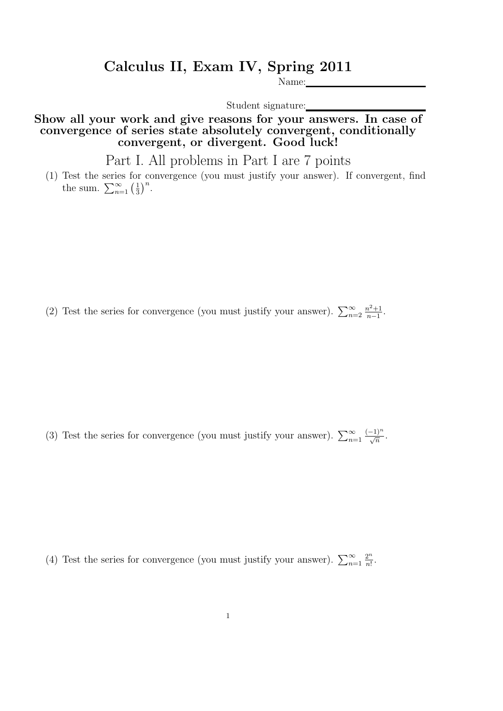## Calculus II, Exam IV, Spring 2011

Name:

Student signature:

Show all your work and give reasons for your answers. In case of convergence of series state absolutely convergent, conditionally convergent, or divergent. Good luck!

Part I. All problems in Part I are 7 points

(1) Test the series for convergence (you must justify your answer). If convergent, find the sum.  $\sum_{n=1}^{\infty} \left(\frac{1}{3}\right)$  $\frac{1}{3}$  $\Big)^n$ .

(2) Test the series for convergence (you must justify your answer).  $\sum_{n=2}^{\infty}$  $n^2+1$  $\frac{n^2+1}{n-1}$ .

(3) Test the series for convergence (you must justify your answer).  $\sum_{n=1}^{\infty}$  $\frac{(-1)^n}{\sqrt{n}}$ .

(4) Test the series for convergence (you must justify your answer).  $\sum_{n=1}^{\infty}$  $2^n$  $\frac{2^n}{n!}$ .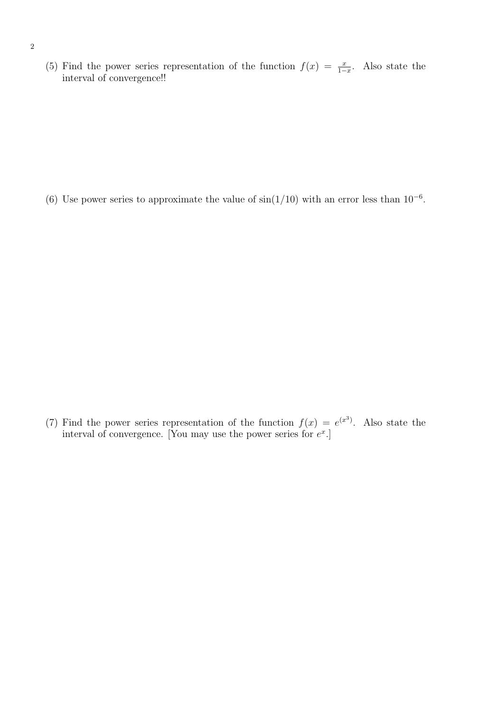(5) Find the power series representation of the function  $f(x) = \frac{x}{1-x}$ . Also state the interval of convergence!!

(6) Use power series to approximate the value of  $\sin(1/10)$  with an error less than  $10^{-6}$ .

(7) Find the power series representation of the function  $f(x) = e^{(x^3)}$ . Also state the interval of convergence. [You may use the power series for  $e^x$ .]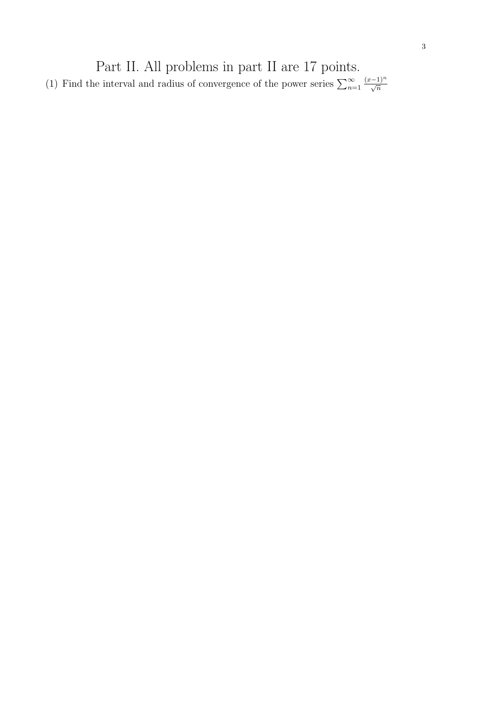Part II. All problems in part II are 17 points. (1) Find the interval and radius of convergence of the power series  $\sum_{n=1}^{\infty}$  $\frac{(x-1)^n}{\sqrt{n}}$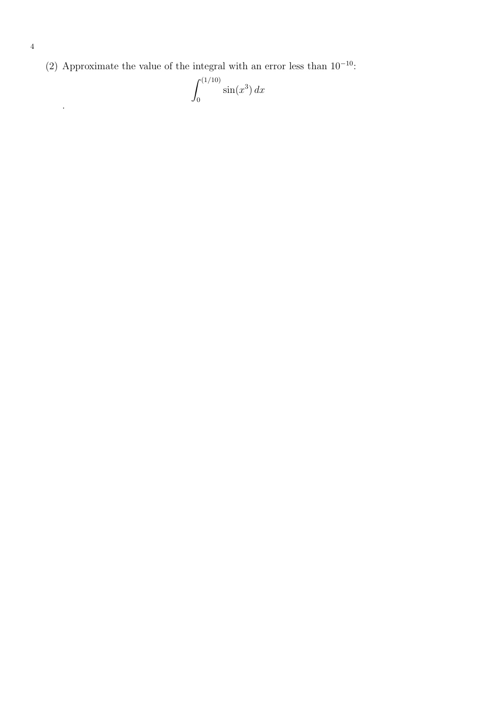(2) Approximate the value of the integral with an error less than  $10^{-10}$ :

$$
\int_0^{(1/10)} \sin(x^3) dx
$$

.